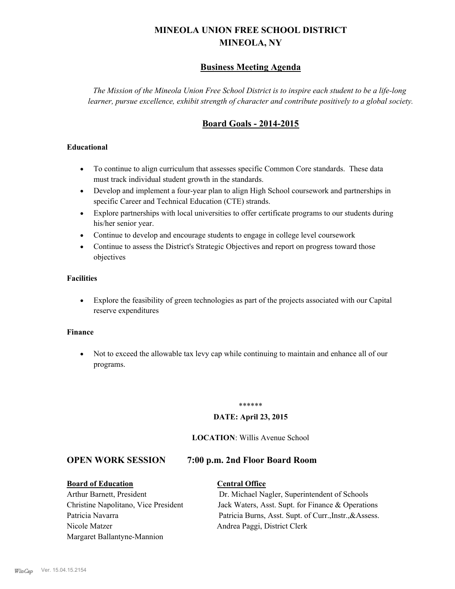# **MINEOLA UNION FREE SCHOOL DISTRICT MINEOLA, NY**

# **Business Meeting Agenda**

*The Mission of the Mineola Union Free School District is to inspire each student to be a life-long learner, pursue excellence, exhibit strength of character and contribute positively to a global society.*

# **Board Goals - 2014-2015**

#### **Educational**

- · To continue to align curriculum that assesses specific Common Core standards. These data must track individual student growth in the standards.
- · Develop and implement a four-year plan to align High School coursework and partnerships in specific Career and Technical Education (CTE) strands.
- · Explore partnerships with local universities to offer certificate programs to our students during his/her senior year.
- · Continue to develop and encourage students to engage in college level coursework
- Continue to assess the District's Strategic Objectives and report on progress toward those objectives

#### **Facilities**

· Explore the feasibility of green technologies as part of the projects associated with our Capital reserve expenditures

#### **Finance**

· Not to exceed the allowable tax levy cap while continuing to maintain and enhance all of our programs.

#### \*\*\*\*\*\*

#### **DATE: April 23, 2015**

#### **LOCATION**: Willis Avenue School

#### **OPEN WORK SESSION 7:00 p.m. 2nd Floor Board Room**

**Board of Education Central Office** Nicole Matzer Andrea Paggi, District Clerk Margaret Ballantyne-Mannion

Arthur Barnett, President Dr. Michael Nagler, Superintendent of Schools Christine Napolitano, Vice President Jack Waters, Asst. Supt. for Finance & Operations Patricia Navarra Patricia Burns, Asst. Supt. of Curr., Instr., &Assess.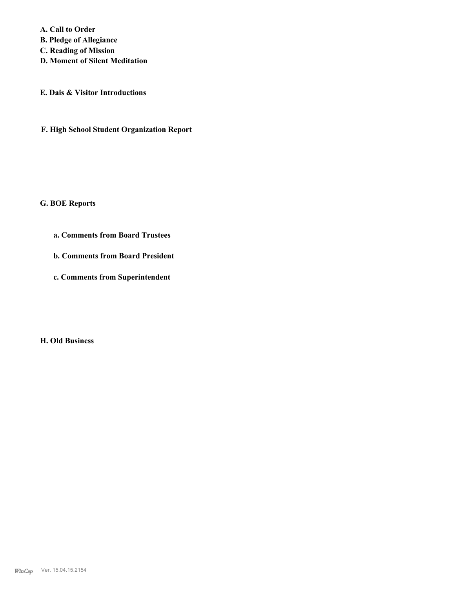**A. Call to Order** 

**B. Pledge of Allegiance**

**C. Reading of Mission**

**D. Moment of Silent Meditation**

**E. Dais & Visitor Introductions**

**F. High School Student Organization Report**

#### **G. BOE Reports**

- **a. Comments from Board Trustees**
- **b. Comments from Board President**
- **c. Comments from Superintendent**

#### **H. Old Business**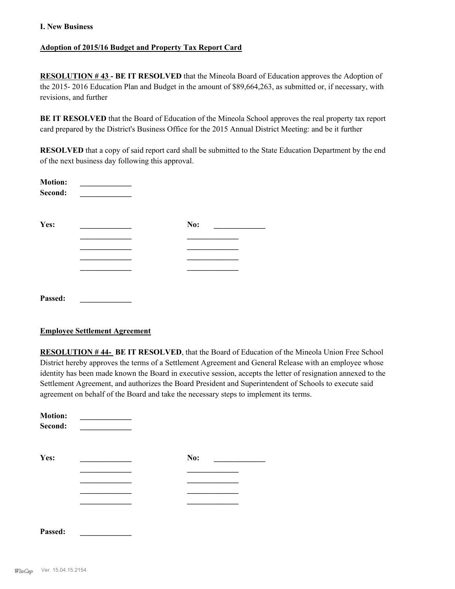#### **Adoption of 2015/16 Budget and Property Tax Report Card**

**RESOLUTION # 43 - BE IT RESOLVED** that the Mineola Board of Education approves the Adoption of the 2015- 2016 Education Plan and Budget in the amount of \$89,664,263, as submitted or, if necessary, with revisions, and further

**BE IT RESOLVED** that the Board of Education of the Mineola School approves the real property tax report card prepared by the District's Business Office for the 2015 Annual District Meeting: and be it further

**RESOLVED** that a copy of said report card shall be submitted to the State Education Department by the end of the next business day following this approval.

| <b>Motion:</b><br>Second: |     |  |
|---------------------------|-----|--|
| Yes:                      | No: |  |
|                           |     |  |
|                           |     |  |
|                           |     |  |
|                           |     |  |
|                           |     |  |
| Passed:                   |     |  |

#### **Employee Settlement Agreement**

**RESOLUTION # 44- BE IT RESOLVED**, that the Board of Education of the Mineola Union Free School District hereby approves the terms of a Settlement Agreement and General Release with an employee whose identity has been made known the Board in executive session, accepts the letter of resignation annexed to the Settlement Agreement, and authorizes the Board President and Superintendent of Schools to execute said agreement on behalf of the Board and take the necessary steps to implement its terms.

| <b>Motion:</b><br>Second: |     |  |
|---------------------------|-----|--|
| Yes:                      | No: |  |
|                           |     |  |
|                           |     |  |
|                           |     |  |
|                           |     |  |
| Passed:                   |     |  |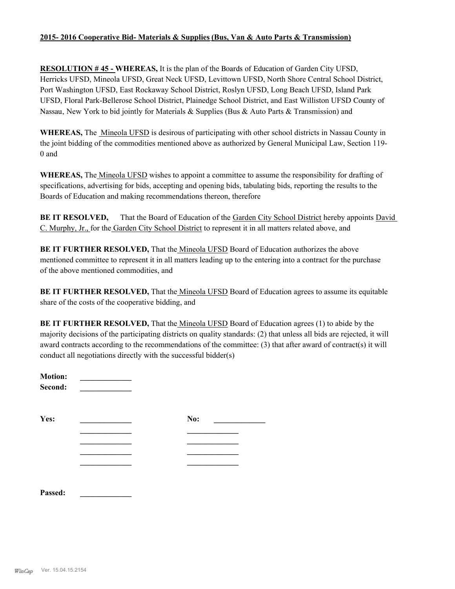#### **2015- 2016 Cooperative Bid- Materials & Supplies (Bus, Van & Auto Parts & Transmission)**

**RESOLUTION # 45 - WHEREAS,** It is the plan of the Boards of Education of Garden City UFSD, Herricks UFSD, Mineola UFSD, Great Neck UFSD, Levittown UFSD, North Shore Central School District, Port Washington UFSD, East Rockaway School District, Roslyn UFSD, Long Beach UFSD, Island Park UFSD, Floral Park-Bellerose School District, Plainedge School District, and East Williston UFSD County of Nassau, New York to bid jointly for Materials & Supplies (Bus & Auto Parts & Transmission) and

**WHEREAS,** The Mineola UFSD is desirous of participating with other school districts in Nassau County in the joint bidding of the commodities mentioned above as authorized by General Municipal Law, Section 119- 0 and

**WHEREAS,** The Mineola UFSD wishes to appoint a committee to assume the responsibility for drafting of specifications, advertising for bids, accepting and opening bids, tabulating bids, reporting the results to the Boards of Education and making recommendations thereon, therefore

**BE IT RESOLVED,** That the Board of Education of the Garden City School District hereby appoints David C. Murphy, Jr., for the Garden City School District to represent it in all matters related above, and

**BE IT FURTHER RESOLVED,** That the *Mineola UFSD* Board of Education authorizes the above mentioned committee to represent it in all matters leading up to the entering into a contract for the purchase of the above mentioned commodities, and

**BE IT FURTHER RESOLVED,** That the Mineola UFSD Board of Education agrees to assume its equitable share of the costs of the cooperative bidding, and

**BE IT FURTHER RESOLVED,** That the Mineola UFSD Board of Education agrees (1) to abide by the majority decisions of the participating districts on quality standards: (2) that unless all bids are rejected, it will award contracts according to the recommendations of the committee: (3) that after award of contract(s) it will conduct all negotiations directly with the successful bidder(s)

| <b>Motion:</b><br>Second: |     |
|---------------------------|-----|
| Yes:                      | No: |
|                           |     |
|                           |     |
|                           |     |
| Passed.                   |     |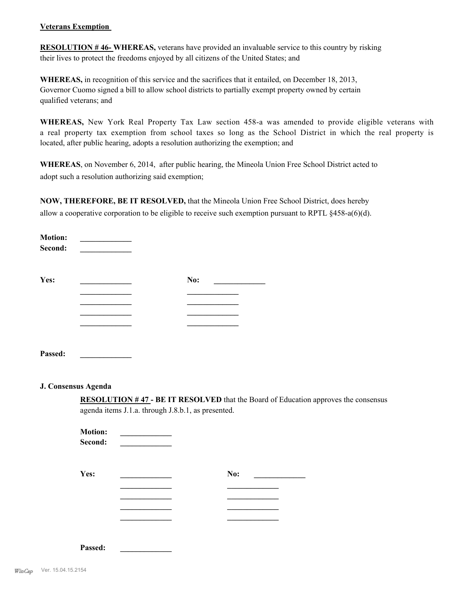#### **Veterans Exemption**

**RESOLUTION # 46- WHEREAS,** veterans have provided an invaluable service to this country by risking their lives to protect the freedoms enjoyed by all citizens of the United States; and

**WHEREAS,** in recognition of this service and the sacrifices that it entailed, on December 18, 2013, Governor Cuomo signed a bill to allow school districts to partially exempt property owned by certain qualified veterans; and

**WHEREAS,** New York Real Property Tax Law section 458-a was amended to provide eligible veterans with a real property tax exemption from school taxes so long as the School District in which the real property is located, after public hearing, adopts a resolution authorizing the exemption; and

**WHEREAS**, on November 6, 2014, after public hearing, the Mineola Union Free School District acted to adopt such a resolution authorizing said exemption;

**NOW, THEREFORE, BE IT RESOLVED,** that the Mineola Union Free School District, does hereby allow a cooperative corporation to be eligible to receive such exemption pursuant to RPTL §458-a(6)(d).

| <b>Motion:</b><br>Second: |     |  |
|---------------------------|-----|--|
| Yes:                      | No: |  |
|                           |     |  |
|                           |     |  |
|                           |     |  |
|                           |     |  |
| Passed:                   |     |  |

#### **J. Consensus Agenda**

**RESOLUTION # 47 - BE IT RESOLVED** that the Board of Education approves the consensus agenda items J.1.a. through J.8.b.1, as presented.

| <b>Motion:</b><br>Second: |     |  |
|---------------------------|-----|--|
| Yes:                      | No: |  |
|                           |     |  |
|                           |     |  |
|                           |     |  |
|                           |     |  |
|                           |     |  |
|                           |     |  |

**Passed: \_\_\_\_\_\_\_\_\_\_\_\_\_**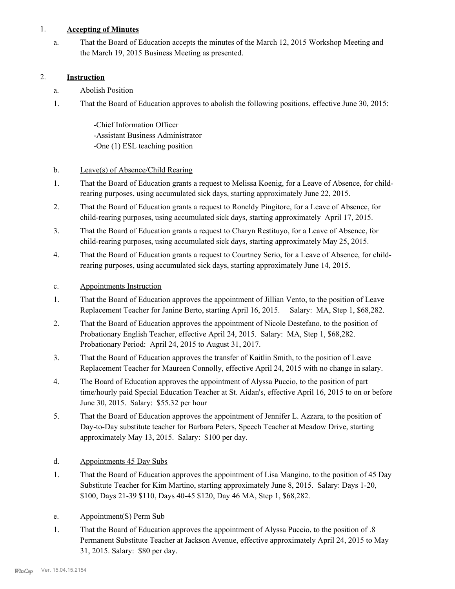#### 1. **Accepting of Minutes**

That the Board of Education accepts the minutes of the March 12, 2015 Workshop Meeting and the March 19, 2015 Business Meeting as presented. a.

### 2. **Instruction**

- a. Abolish Position
- That the Board of Education approves to abolish the following positions, effective June 30, 2015: 1.

-Chief Information Officer -Assistant Business Administrator -One (1) ESL teaching position

## b. Leave(s) of Absence/Child Rearing

- That the Board of Education grants a request to Melissa Koenig, for a Leave of Absence, for childrearing purposes, using accumulated sick days, starting approximately June 22, 2015. 1.
- That the Board of Education grants a request to Roneldy Pingitore, for a Leave of Absence, for child-rearing purposes, using accumulated sick days, starting approximately April 17, 2015. 2.
- That the Board of Education grants a request to Charyn Restituyo, for a Leave of Absence, for child-rearing purposes, using accumulated sick days, starting approximately May 25, 2015. 3.
- That the Board of Education grants a request to Courtney Serio, for a Leave of Absence, for childrearing purposes, using accumulated sick days, starting approximately June 14, 2015. 4.
- c. Appointments Instruction
- That the Board of Education approves the appointment of Jillian Vento, to the position of Leave Replacement Teacher for Janine Berto, starting April 16, 2015. Salary: MA, Step 1, \$68,282. 1.
- That the Board of Education approves the appointment of Nicole Destefano, to the position of Probationary English Teacher, effective April 24, 2015. Salary: MA, Step 1, \$68,282. Probationary Period: April 24, 2015 to August 31, 2017. 2.
- That the Board of Education approves the transfer of Kaitlin Smith, to the position of Leave Replacement Teacher for Maureen Connolly, effective April 24, 2015 with no change in salary. 3.
- The Board of Education approves the appointment of Alyssa Puccio, to the position of part time/hourly paid Special Education Teacher at St. Aidan's, effective April 16, 2015 to on or before June 30, 2015. Salary: \$55.32 per hour 4.
- That the Board of Education approves the appointment of Jennifer L. Azzara, to the position of Day-to-Day substitute teacher for Barbara Peters, Speech Teacher at Meadow Drive, starting approximately May 13, 2015. Salary: \$100 per day. 5.
- d. Appointments 45 Day Subs
- That the Board of Education approves the appointment of Lisa Mangino, to the position of 45 Day Substitute Teacher for Kim Martino, starting approximately June 8, 2015. Salary: Days 1-20, \$100, Days 21-39 \$110, Days 40-45 \$120, Day 46 MA, Step 1, \$68,282. 1.
- e. Appointment(S) Perm Sub
- That the Board of Education approves the appointment of Alyssa Puccio, to the position of .8 Permanent Substitute Teacher at Jackson Avenue, effective approximately April 24, 2015 to May 31, 2015. Salary: \$80 per day. 1.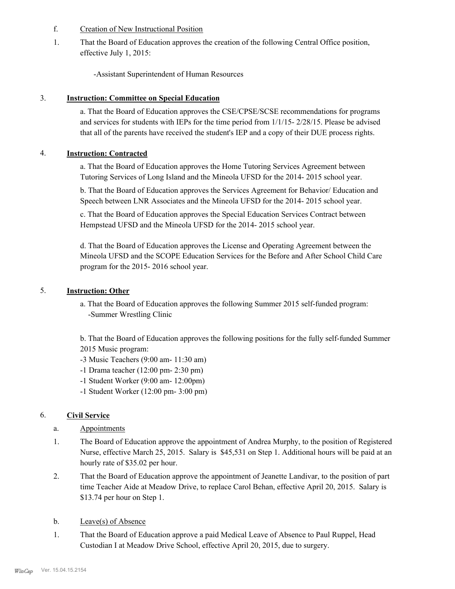- f. Creation of New Instructional Position
- That the Board of Education approves the creation of the following Central Office position, effective July 1, 2015: 1.

-Assistant Superintendent of Human Resources

#### 3. **Instruction: Committee on Special Education**

a. That the Board of Education approves the CSE/CPSE/SCSE recommendations for programs and services for students with IEPs for the time period from 1/1/15- 2/28/15. Please be advised that all of the parents have received the student's IEP and a copy of their DUE process rights.

#### 4. **Instruction: Contracted**

a. That the Board of Education approves the Home Tutoring Services Agreement between Tutoring Services of Long Island and the Mineola UFSD for the 2014- 2015 school year.

b. That the Board of Education approves the Services Agreement for Behavior/ Education and Speech between LNR Associates and the Mineola UFSD for the 2014- 2015 school year.

c. That the Board of Education approves the Special Education Services Contract between Hempstead UFSD and the Mineola UFSD for the 2014- 2015 school year.

d. That the Board of Education approves the License and Operating Agreement between the Mineola UFSD and the SCOPE Education Services for the Before and After School Child Care program for the 2015- 2016 school year.

#### 5. **Instruction: Other**

a. That the Board of Education approves the following Summer 2015 self-funded program: -Summer Wrestling Clinic

b. That the Board of Education approves the following positions for the fully self-funded Summer 2015 Music program:

- -3 Music Teachers (9:00 am- 11:30 am)
- -1 Drama teacher (12:00 pm- 2:30 pm)
- -1 Student Worker (9:00 am- 12:00pm)
- -1 Student Worker (12:00 pm- 3:00 pm)

#### 6. **Civil Service**

- a. Appointments
- The Board of Education approve the appointment of Andrea Murphy, to the position of Registered Nurse, effective March 25, 2015. Salary is \$45,531 on Step 1. Additional hours will be paid at an hourly rate of \$35.02 per hour. 1.
- That the Board of Education approve the appointment of Jeanette Landivar, to the position of part time Teacher Aide at Meadow Drive, to replace Carol Behan, effective April 20, 2015. Salary is \$13.74 per hour on Step 1. 2.
- b. Leave(s) of Absence
- That the Board of Education approve a paid Medical Leave of Absence to Paul Ruppel, Head Custodian I at Meadow Drive School, effective April 20, 2015, due to surgery. 1.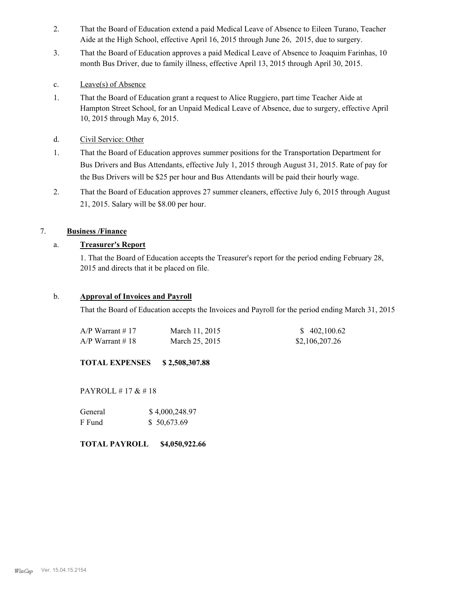- That the Board of Education extend a paid Medical Leave of Absence to Eileen Turano, Teacher Aide at the High School, effective April 16, 2015 through June 26, 2015, due to surgery. 2.
- That the Board of Education approves a paid Medical Leave of Absence to Joaquim Farinhas, 10 month Bus Driver, due to family illness, effective April 13, 2015 through April 30, 2015. 3.
- c. Leave(s) of Absence
- That the Board of Education grant a request to Alice Ruggiero, part time Teacher Aide at Hampton Street School, for an Unpaid Medical Leave of Absence, due to surgery, effective April 10, 2015 through May 6, 2015. 1.
- d. Civil Service: Other
- That the Board of Education approves summer positions for the Transportation Department for Bus Drivers and Bus Attendants, effective July 1, 2015 through August 31, 2015. Rate of pay for the Bus Drivers will be \$25 per hour and Bus Attendants will be paid their hourly wage. 1.
- That the Board of Education approves 27 summer cleaners, effective July 6, 2015 through August 21, 2015. Salary will be \$8.00 per hour. 2.

# 7. **Business /Finance**

#### a. **Treasurer's Report**

1. That the Board of Education accepts the Treasurer's report for the period ending February 28, 2015 and directs that it be placed on file.

#### b. **Approval of Invoices and Payroll**

That the Board of Education accepts the Invoices and Payroll for the period ending March 31, 2015

| $A/P$ Warrant #17 | March 11, 2015 | \$402,100.62   |
|-------------------|----------------|----------------|
| $A/P$ Warrant #18 | March 25, 2015 | \$2,106,207.26 |

**TOTAL EXPENSES \$ 2,508,307.88**

PAYROLL # 17 & # 18

| General | \$4,000,248.97 |
|---------|----------------|
| F Fund  | \$50,673.69    |

#### **TOTAL PAYROLL \$4,050,922.66**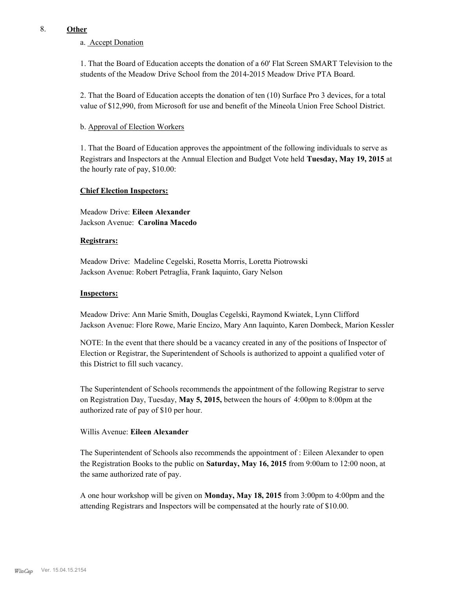#### 8. **Other**

### a. Accept Donation

1. That the Board of Education accepts the donation of a 60' Flat Screen SMART Television to the students of the Meadow Drive School from the 2014-2015 Meadow Drive PTA Board.

2. That the Board of Education accepts the donation of ten (10) Surface Pro 3 devices, for a total value of \$12,990, from Microsoft for use and benefit of the Mineola Union Free School District.

#### b. Approval of Election Workers

1. That the Board of Education approves the appointment of the following individuals to serve as Registrars and Inspectors at the Annual Election and Budget Vote held **Tuesday, May 19, 2015** at the hourly rate of pay, \$10.00:

#### **Chief Election Inspectors:**

Meadow Drive: **Eileen Alexander**  Jackson Avenue: **Carolina Macedo**

#### **Registrars:**

Meadow Drive: Madeline Cegelski, Rosetta Morris, Loretta Piotrowski Jackson Avenue: Robert Petraglia, Frank Iaquinto, Gary Nelson

#### **Inspectors:**

Meadow Drive: Ann Marie Smith, Douglas Cegelski, Raymond Kwiatek, Lynn Clifford Jackson Avenue: Flore Rowe, Marie Encizo, Mary Ann Iaquinto, Karen Dombeck, Marion Kessler

NOTE: In the event that there should be a vacancy created in any of the positions of Inspector of Election or Registrar, the Superintendent of Schools is authorized to appoint a qualified voter of this District to fill such vacancy.

The Superintendent of Schools recommends the appointment of the following Registrar to serve on Registration Day, Tuesday, **May 5, 2015,** between the hours of 4:00pm to 8:00pm at the authorized rate of pay of \$10 per hour.

#### Willis Avenue: **Eileen Alexander**

The Superintendent of Schools also recommends the appointment of : Eileen Alexander to open the Registration Books to the public on **Saturday, May 16, 2015** from 9:00am to 12:00 noon, at the same authorized rate of pay.

A one hour workshop will be given on **Monday, May 18, 2015** from 3:00pm to 4:00pm and the attending Registrars and Inspectors will be compensated at the hourly rate of \$10.00.